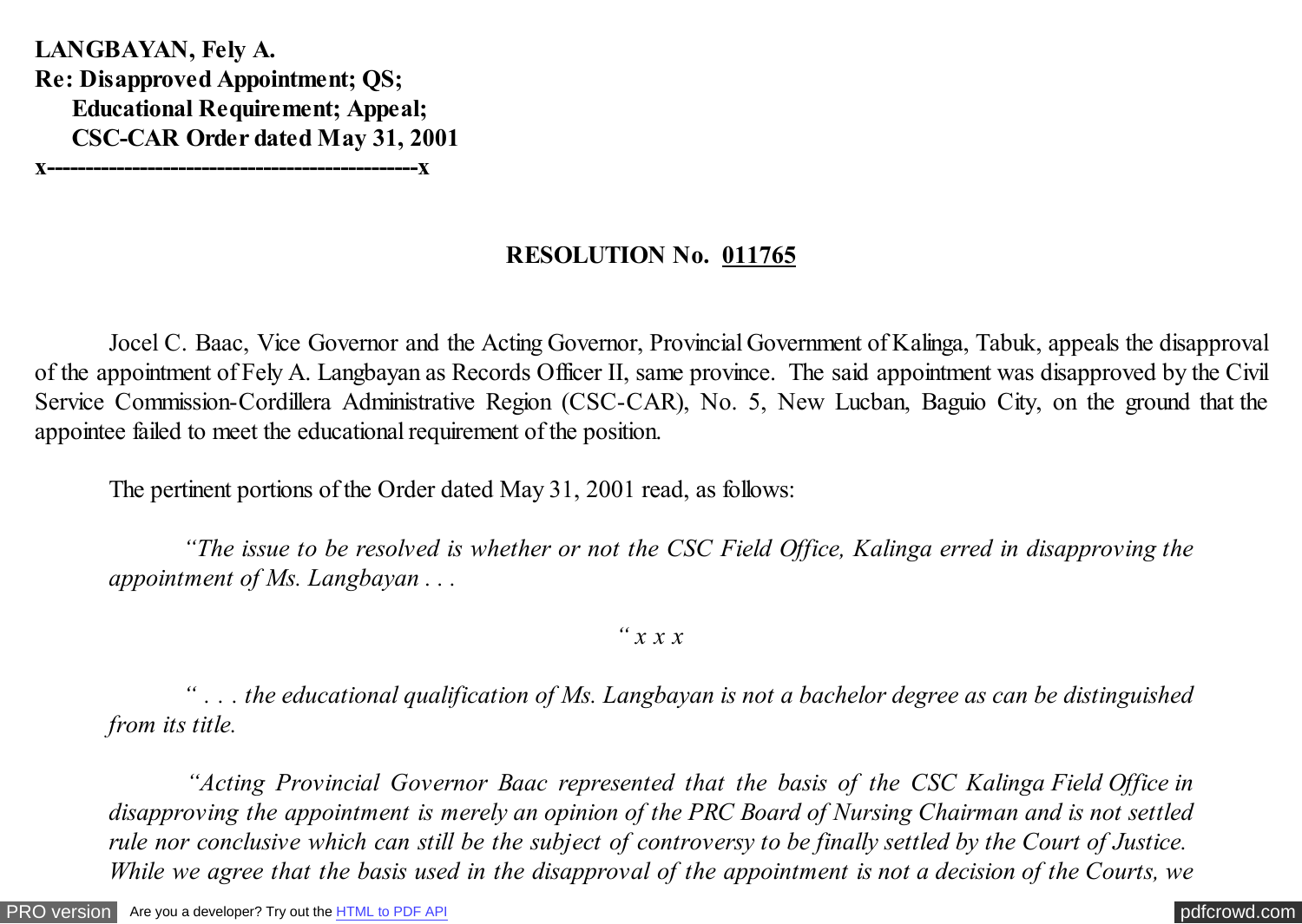**LANGBAYAN, Fely A. Re: Disapproved Appointment; QS; Educational Requirement; Appeal; CSC-CAR Order dated May 31, 2001 x------------------------------------------------x**

## **RESOLUTION No. 011765**

 Jocel C. Baac, Vice Governor and the Acting Governor, Provincial Government of Kalinga, Tabuk, appeals the disapproval of the appointment of Fely A. Langbayan as Records Officer II, same province. The said appointment was disapproved by the Civil Service Commission-Cordillera Administrative Region (CSC-CAR), No. 5, New Lucban, Baguio City, on the ground that the appointee failed to meet the educational requirement of the position.

The pertinent portions of the Order dated May 31, 2001 read, as follows:

 *"The issue to be resolved is whether or not the CSC Field Office, Kalinga erred in disapproving the appointment of Ms. Langbayan . . .*

### *" x x x*

 *" . . . the educational qualification of Ms. Langbayan is not a bachelor degree as can be distinguished from its title.*

 *"Acting Provincial Governor Baac represented that the basis of the CSC Kalinga Field Office in disapproving the appointment is merely an opinion of the PRC Board of Nursing Chairman and is not settled rule nor conclusive which can still be the subject of controversy to be finally settled by the Court of Justice. While we agree that the basis used in the disapproval of the appointment is not a decision of the Courts, we*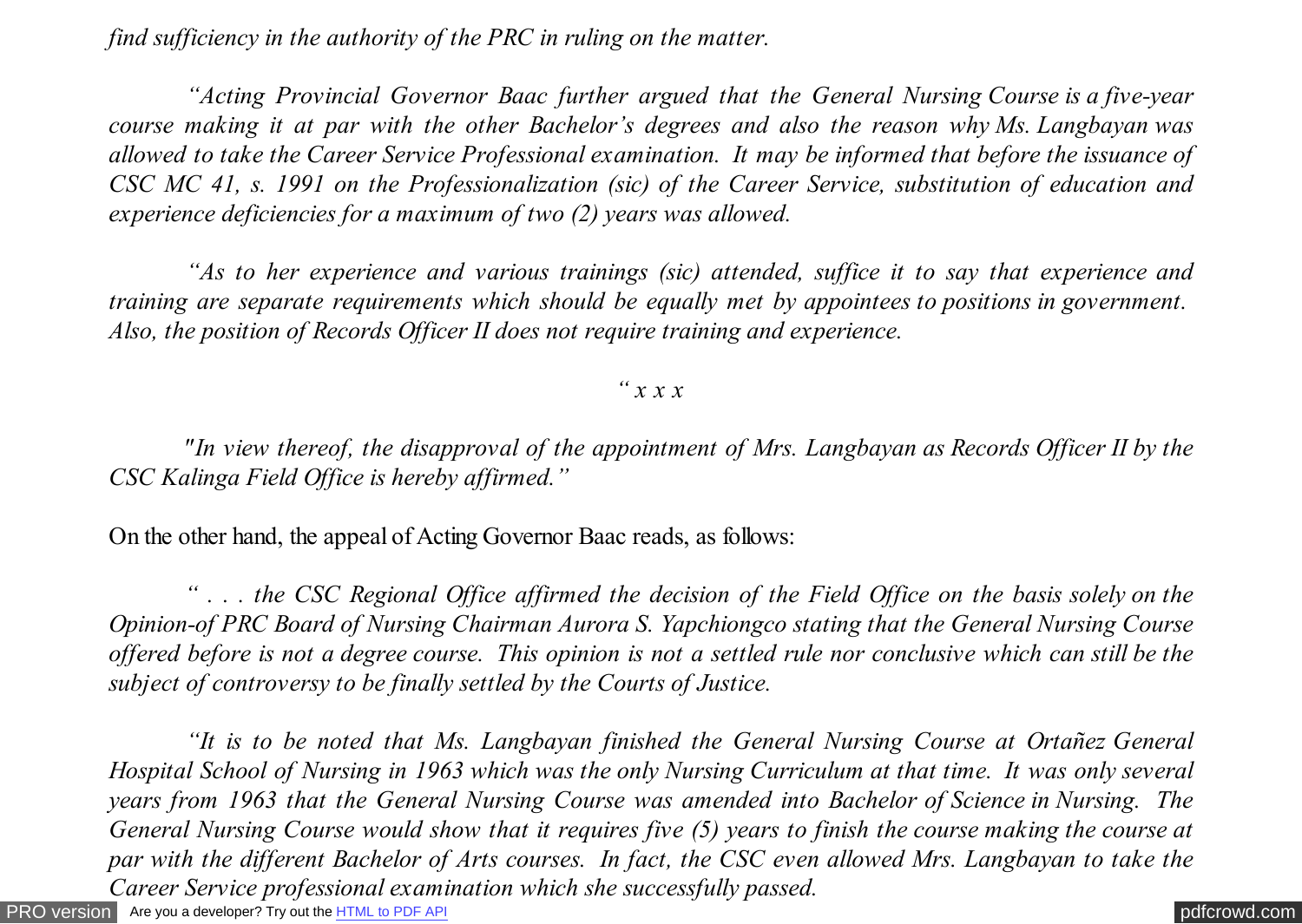*find sufficiency in the authority of the PRC in ruling on the matter.*

 *"Acting Provincial Governor Baac further argued that the General Nursing Course is a five-year course making it at par with the other Bachelor's degrees and also the reason why Ms. Langbayan was allowed to take the Career Service Professional examination. It may be informed that before the issuance of CSC MC 41, s. 1991 on the Professionalization (sic) of the Career Service, substitution of education and experience deficiencies for a maximum of two (2) years was allowed.*

 *"As to her experience and various trainings (sic) attended, suffice it to say that experience and training are separate requirements which should be equally met by appointees to positions in government. Also, the position of Records Officer II does not require training and experience.*

#### *" x x x*

 *"In view thereof, the disapproval of the appointment of Mrs. Langbayan as Records Officer II by the CSC Kalinga Field Office is hereby affirmed."*

On the other hand, the appeal of Acting Governor Baac reads, as follows:

 *" . . . the CSC Regional Office affirmed the decision of the Field Office on the basis solely on the Opinion-of PRC Board of Nursing Chairman Aurora S. Yapchiongco stating that the General Nursing Course offered before is not a degree course. This opinion is not a settled rule nor conclusive which can still be the subject of controversy to be finally settled by the Courts of Justice.*

[PRO version](http://pdfcrowd.com/customize/) Are you a developer? Try out th[e HTML to PDF API](http://pdfcrowd.com/html-to-pdf-api/?ref=pdf) contract the community of the HTML to PDF API [pdfcrowd.com](http://pdfcrowd.com)  *"It is to be noted that Ms. Langbayan finished the General Nursing Course at Ortañez General Hospital School of Nursing in 1963 which was the only Nursing Curriculum at that time. It was only several years from 1963 that the General Nursing Course was amended into Bachelor of Science in Nursing. The General Nursing Course would show that it requires five (5) years to finish the course making the course at par with the different Bachelor of Arts courses. In fact, the CSC even allowed Mrs. Langbayan to take the Career Service professional examination which she successfully passed.*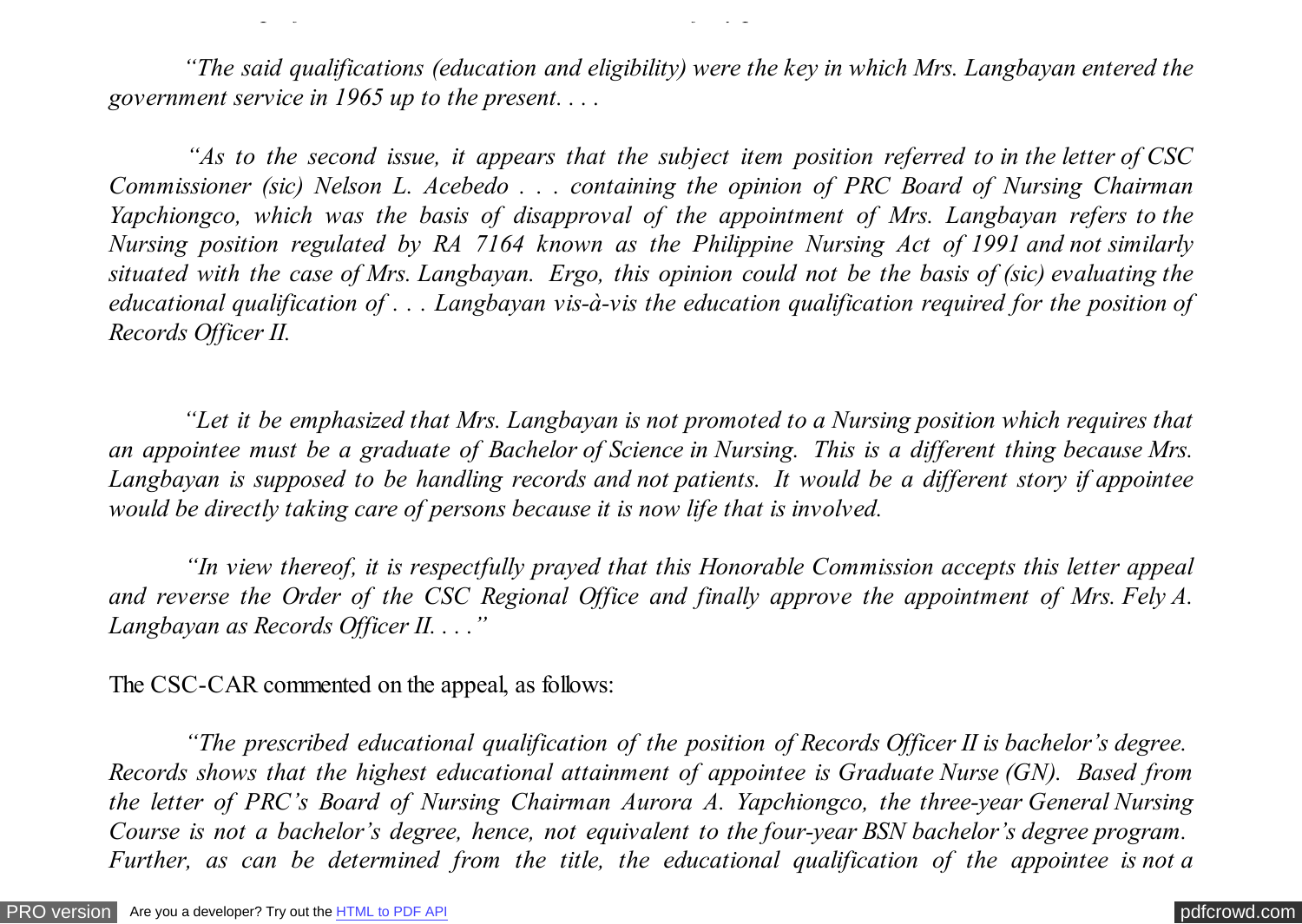*"The said qualifications (education and eligibility) were the key in which Mrs. Langbayan entered the government service in 1965 up to the present. . . .*

*Career Service professional examination which she successfully passed.*

 *"As to the second issue, it appears that the subject item position referred to in the letter of CSC Commissioner (sic) Nelson L. Acebedo . . . containing the opinion of PRC Board of Nursing Chairman Yapchiongco, which was the basis of disapproval of the appointment of Mrs. Langbayan refers to the Nursing position regulated by RA 7164 known as the Philippine Nursing Act of 1991 and not similarly situated with the case of Mrs. Langbayan. Ergo, this opinion could not be the basis of (sic) evaluating the educational qualification of . . . Langbayan vis-à-vis the education qualification required for the position of Records Officer II.*

 *"Let it be emphasized that Mrs. Langbayan is not promoted to a Nursing position which requires that an appointee must be a graduate of Bachelor of Science in Nursing. This is a different thing because Mrs. Langbayan is supposed to be handling records and not patients. It would be a different story if appointee would be directly taking care of persons because it is now life that is involved.*

 *"In view thereof, it is respectfully prayed that this Honorable Commission accepts this letter appeal and reverse the Order of the CSC Regional Office and finally approve the appointment of Mrs. Fely A. Langbayan as Records Officer II. . . ."*

The CSC-CAR commented on the appeal, as follows:

 *"The prescribed educational qualification of the position of Records Officer II is bachelor's degree. Records shows that the highest educational attainment of appointee is Graduate Nurse (GN). Based from the letter of PRC's Board of Nursing Chairman Aurora A. Yapchiongco, the three-year General Nursing Course is not a bachelor's degree, hence, not equivalent to the four-year BSN bachelor's degree program. Further, as can be determined from the title, the educational qualification of the appointee is not a*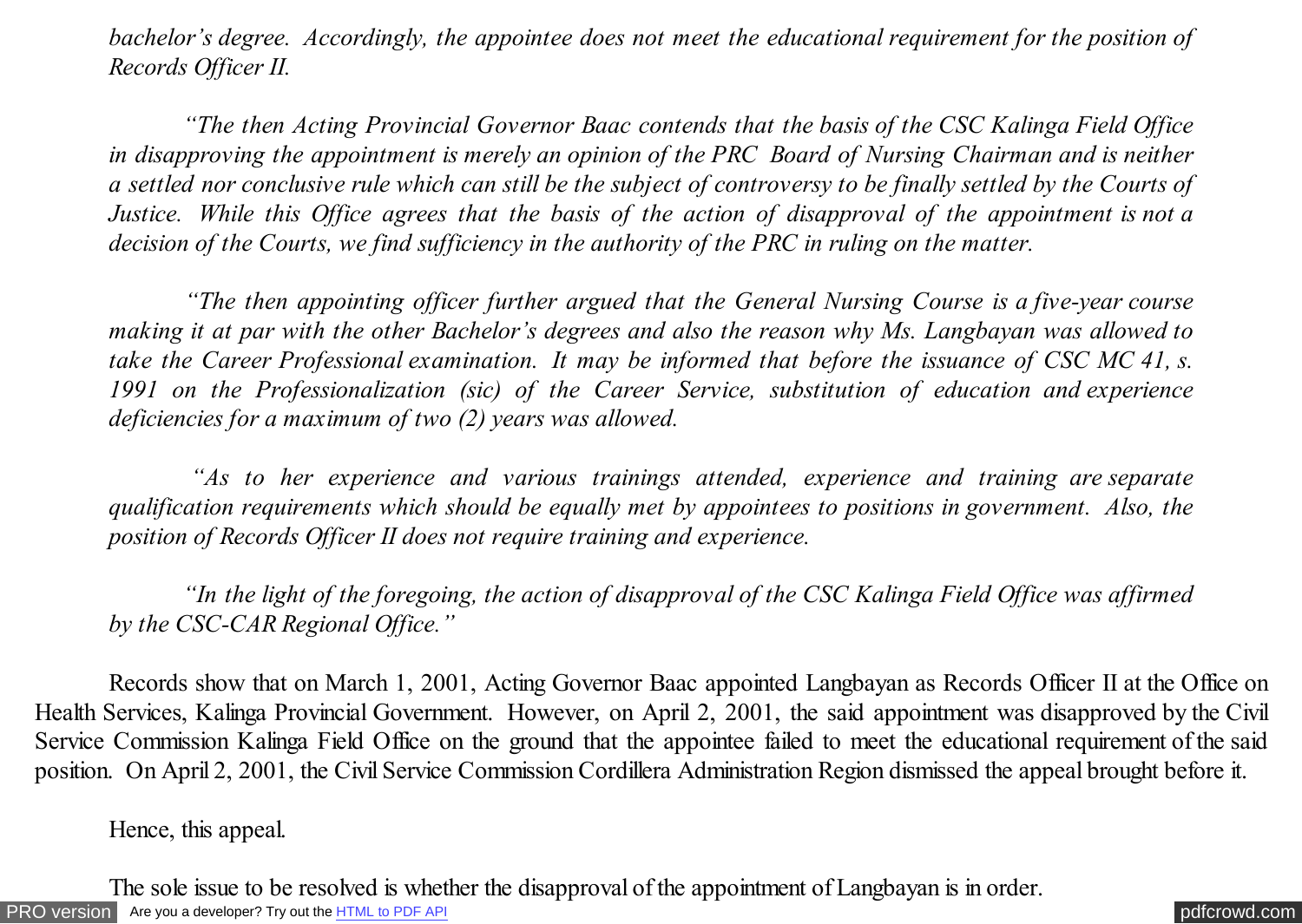*bachelor's degree. Accordingly, the appointee does not meet the educational requirement for the position of Records Officer II.*

 *"The then Acting Provincial Governor Baac contends that the basis of the CSC Kalinga Field Office in disapproving the appointment is merely an opinion of the PRC Board of Nursing Chairman and is neither a settled nor conclusive rule which can still be the subject of controversy to be finally settled by the Courts of Justice. While this Office agrees that the basis of the action of disapproval of the appointment is not a decision of the Courts, we find sufficiency in the authority of the PRC in ruling on the matter.*

 *"The then appointing officer further argued that the General Nursing Course is a five-year course making it at par with the other Bachelor's degrees and also the reason why Ms. Langbayan was allowed to take the Career Professional examination. It may be informed that before the issuance of CSC MC 41, s. 1991 on the Professionalization (sic) of the Career Service, substitution of education and experience deficiencies for a maximum of two (2) years was allowed.*

 *"As to her experience and various trainings attended, experience and training are separate qualification requirements which should be equally met by appointees to positions in government. Also, the position of Records Officer II does not require training and experience.*

 *"In the light of the foregoing, the action of disapproval of the CSC Kalinga Field Office was affirmed by the CSC-CAR Regional Office."*

 Records show that on March 1, 2001, Acting Governor Baac appointed Langbayan as Records Officer II at the Office on Health Services, Kalinga Provincial Government. However, on April 2, 2001, the said appointment was disapproved by the Civil Service Commission Kalinga Field Office on the ground that the appointee failed to meet the educational requirement of the said position. On April 2, 2001, the Civil Service Commission Cordillera Administration Region dismissed the appeal brought before it.

Hence, this appeal.

[PRO version](http://pdfcrowd.com/customize/) Are you a developer? Try out th[e HTML to PDF API](http://pdfcrowd.com/html-to-pdf-api/?ref=pdf) contract the CHTML of PDF API [pdfcrowd.com](http://pdfcrowd.com) The sole issue to be resolved is whether the disapproval of the appointment of Langbayan is in order.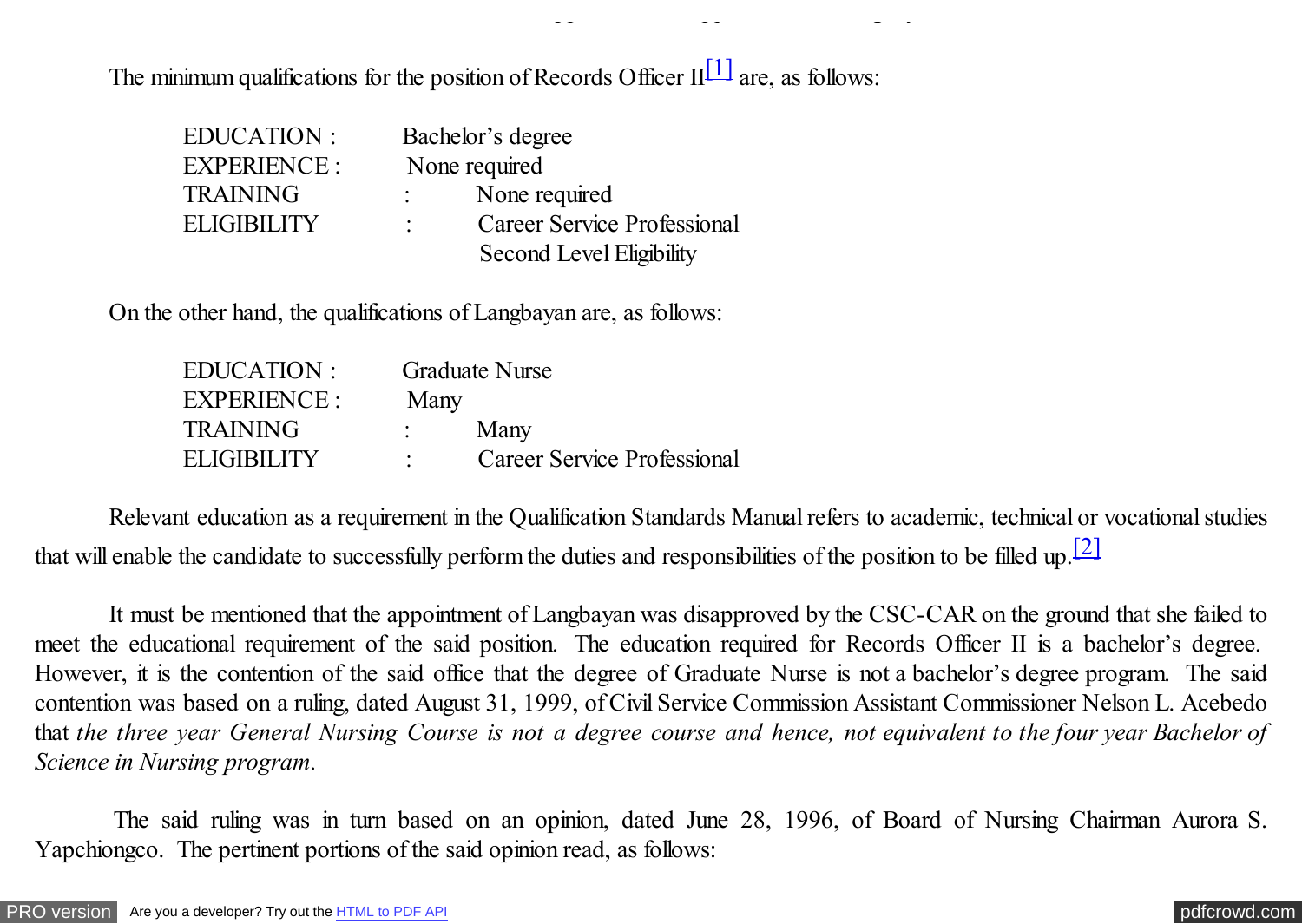The minimum qualifications for the position of Records Officer  $II^{[1]}$  are, as follows:

<span id="page-4-0"></span>The sole issue to be resolved is whether the disapproval of the approval of the approximation is in order. The<br>In order the approximation is in order. The approximation is in order. The approximation is in order. In order

| EDUCATION:      | Bachelor's degree                  |
|-----------------|------------------------------------|
| EXPERIENCE :    | None required                      |
| <b>TRAINING</b> | None required                      |
| ELIGIBILITY     | <b>Career Service Professional</b> |
|                 | <b>Second Level Eligibility</b>    |

On the other hand, the qualifications of Langbayan are, as follows:

| EDUCATION :     | Graduate Nurse              |
|-----------------|-----------------------------|
| EXPERIENCE :    | Many                        |
| <b>TRAINING</b> | Many                        |
| ELIGIBILITY     | Career Service Professional |

 Relevant education as a requirement in the Qualification Standards Manual refers to academic, technical or vocational studies that will enable the candidate to successfully perform the duties and responsibilities of the position to be filled up.<sup>[2]</sup>

 It must be mentioned that the appointment of Langbayan was disapproved by the CSC-CAR on the ground that she failed to meet the educational requirement of the said position. The education required for Records Officer II is a bachelor's degree. However, it is the contention of the said office that the degree of Graduate Nurse is not a bachelor's degree program. The said contention was based on a ruling, dated August 31, 1999, of Civil Service Commission Assistant Commissioner Nelson L. Acebedo that *the three year General Nursing Course is not a degree course and hence, not equivalent to the four year Bachelor of Science in Nursing program.*

 The said ruling was in turn based on an opinion, dated June 28, 1996, of Board of Nursing Chairman Aurora S. Yapchiongco. The pertinent portions of the said opinion read, as follows: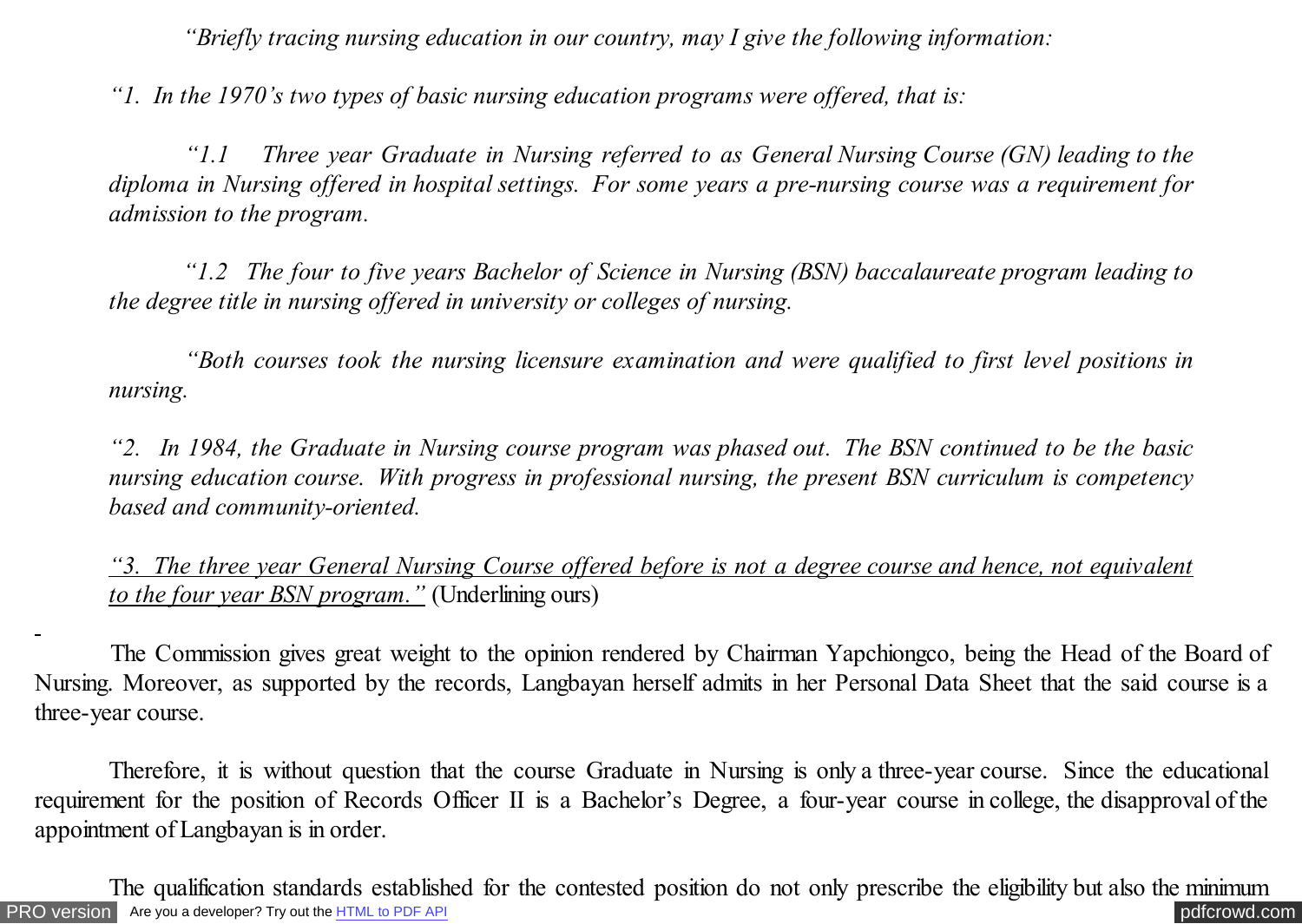*"Briefly tracing nursing education in our country, may I give the following information:*

*"1. In the 1970's two types of basic nursing education programs were offered, that is:*

 *"1.1 Three year Graduate in Nursing referred to as General Nursing Course (GN) leading to the diploma in Nursing offered in hospital settings. For some years a pre-nursing course was a requirement for admission to the program.*

 *"1.2 The four to five years Bachelor of Science in Nursing (BSN) baccalaureate program leading to the degree title in nursing offered in university or colleges of nursing.*

 *"Both courses took the nursing licensure examination and were qualified to first level positions in nursing.*

*"2. In 1984, the Graduate in Nursing course program was phased out. The BSN continued to be the basic nursing education course. With progress in professional nursing, the present BSN curriculum is competency based and community-oriented.*

*"3. The three year General Nursing Course offered before is not a degree course and hence, not equivalent to the four year BSN program."* (Underlining ours)

 The Commission gives great weight to the opinion rendered by Chairman Yapchiongco, being the Head of the Board of Nursing. Moreover, as supported by the records, Langbayan herself admits in her Personal Data Sheet that the said course is a three-year course.

Therefore, it is without question that the course Graduate in Nursing is only a three-year course. Since the educational requirement for the position of Records Officer II is a Bachelor's Degree, a four-year course in college, the disapproval of the appointment of Langbayan is in order.

[PRO version](http://pdfcrowd.com/customize/) Are you a developer? Try out the **HTML to PDF API [pdfcrowd.com](http://pdfcrowd.com)** The qualification standards established for the contested position do not only prescribe the eligibility but also the minimum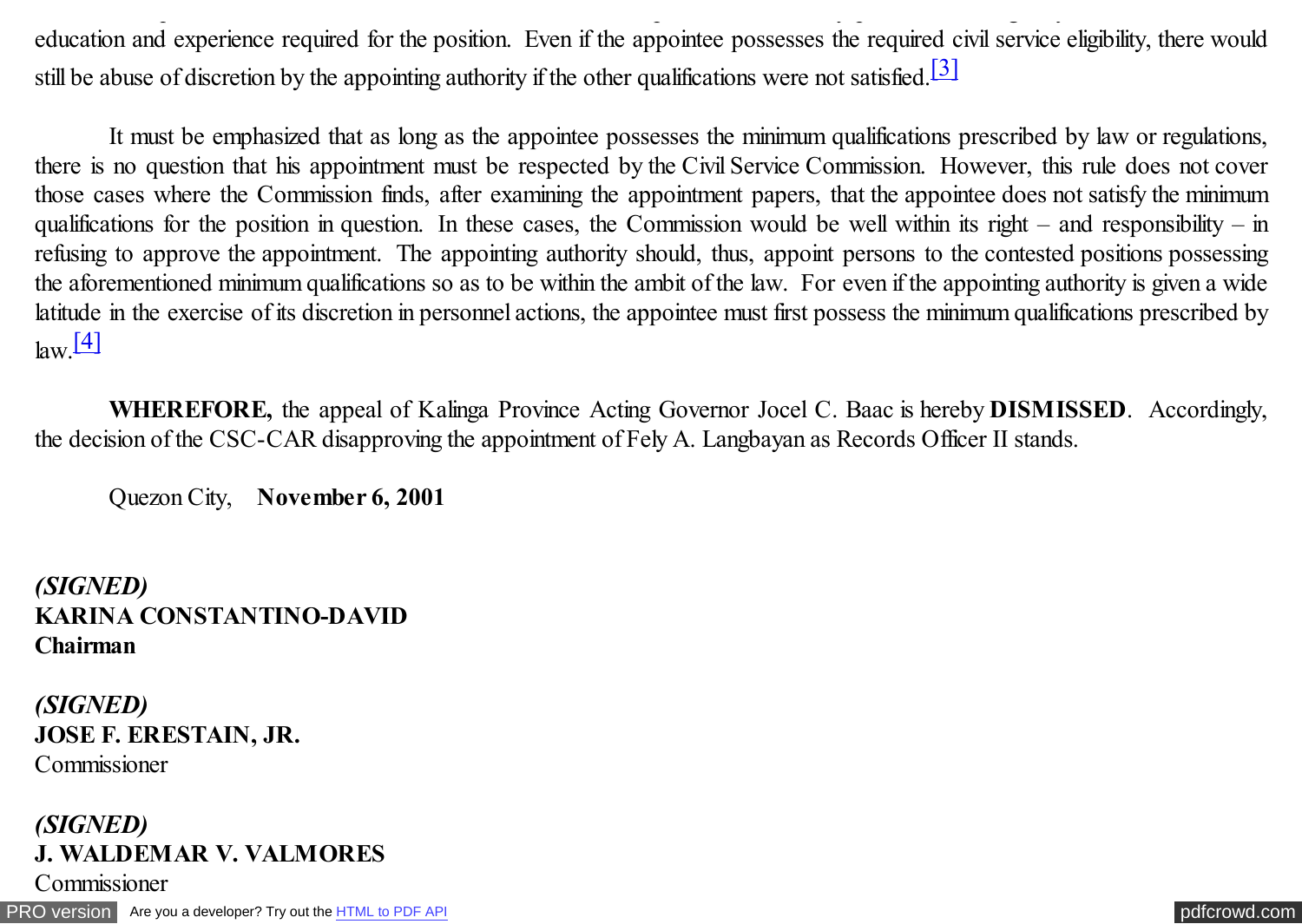education and experience required for the position. Even if the appointee possesses the required civil service eligibility, there would still be abuse of discretion by the appointing authority if the other qualifications were not satisfied.<sup>[3]</sup>

The qualification standards established for the contested position do not only prescribe the eligibility but also the minimum

It must be emphasized that as long as the appointee possesses the minimum qualifications prescribed by law or regulations, there is no question that his appointment must be respected by the Civil Service Commission. However, this rule does not cover those cases where the Commission finds, after examining the appointment papers, that the appointee does not satisfy the minimum qualifications for the position in question. In these cases, the Commission would be well within its right – and responsibility – in refusing to approve the appointment. The appointing authority should, thus, appoint persons to the contested positions possessing the aforementioned minimum qualifications so as to be within the ambit of the law. For even if the appointing authority is given a wide latitude in the exercise of its discretion in personnel actions, the appointee must first possess the minimum qualifications prescribed by  $\lbrack \text{law} \rbrack$   $\lbrack 4 \rbrack$ 

**WHEREFORE,** the appeal of Kalinga Province Acting Governor Jocel C. Baac is hereby **DISMISSED**. Accordingly, the decision of the CSC-CAR disapproving the appointment of Fely A. Langbayan as Records Officer II stands.

Quezon City, **November 6, 2001**

*(SIGNED)* **KARINA CONSTANTINO-DAVID Chairman**

*(SIGNED)* **JOSE F. ERESTAIN, JR.** Commissioner

# *(SIGNED)* **J. WALDEMAR V. VALMORES**

**Commissioner** 

[PRO version](http://pdfcrowd.com/customize/) Are you a developer? Try out th[e HTML to PDF API](http://pdfcrowd.com/html-to-pdf-api/?ref=pdf) [pdfcrowd.com](http://pdfcrowd.com)